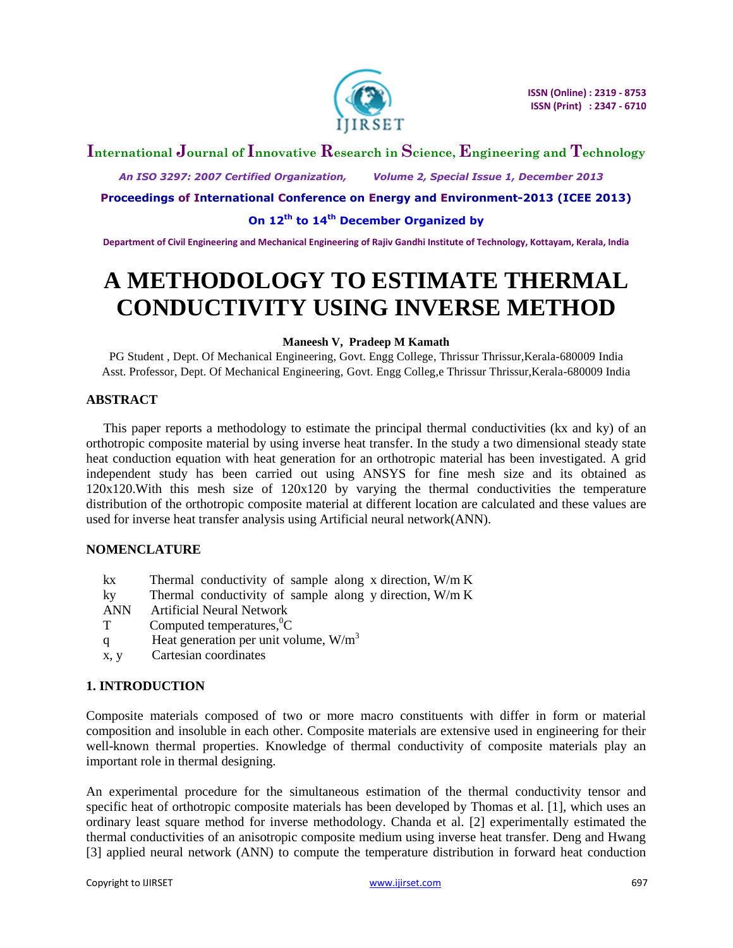

## **International Journal of Innovative Research in Science, Engineering and Technology**

 *An ISO 3297: 2007 Certified Organization, Volume 2, Special Issue 1, December 2013*

**Proceedings of International Conference on Energy and Environment-2013 (ICEE 2013)**

**On 12th to 14th December Organized by**

**Department of Civil Engineering and Mechanical Engineering of Rajiv Gandhi Institute of Technology, Kottayam, Kerala, India**

# **A METHODOLOGY TO ESTIMATE THERMAL CONDUCTIVITY USING INVERSE METHOD**

## **Maneesh V, Pradeep M Kamath**

PG Student , Dept. Of Mechanical Engineering, Govt. Engg College, Thrissur Thrissur,Kerala-680009 India Asst. Professor, Dept. Of Mechanical Engineering, Govt. Engg Colleg,e Thrissur Thrissur,Kerala-680009 India

## **ABSTRACT**

This paper reports a methodology to estimate the principal thermal conductivities (kx and ky) of an orthotropic composite material by using inverse heat transfer. In the study a two dimensional steady state heat conduction equation with heat generation for an orthotropic material has been investigated. A grid independent study has been carried out using ANSYS for fine mesh size and its obtained as  $120x120$ . With this mesh size of  $120x120$  by varying the thermal conductivities the temperature distribution of the orthotropic composite material at different location are calculated and these values are used for inverse heat transfer analysis using Artificial neural network(ANN).

## **NOMENCLATURE**

- kx Thermal conductivity of sample along x direction, W/m K
- ky Thermal conductivity of sample along y direction, W/m K
- ANN Artificial Neural Network
- $T$  Computed temperatures,  ${}^{0}C$
- q Heat generation per unit volume,  $W/m<sup>3</sup>$
- x, y Cartesian coordinates

## **1. INTRODUCTION**

Composite materials composed of two or more macro constituents with differ in form or material composition and insoluble in each other. Composite materials are extensive used in engineering for their well-known thermal properties. Knowledge of thermal conductivity of composite materials play an important role in thermal designing.

An experimental procedure for the simultaneous estimation of the thermal conductivity tensor and specific heat of orthotropic composite materials has been developed by Thomas et al. [1], which uses an ordinary least square method for inverse methodology. Chanda et al. [2] experimentally estimated the thermal conductivities of an anisotropic composite medium using inverse heat transfer. Deng and Hwang [3] applied neural network (ANN) to compute the temperature distribution in forward heat conduction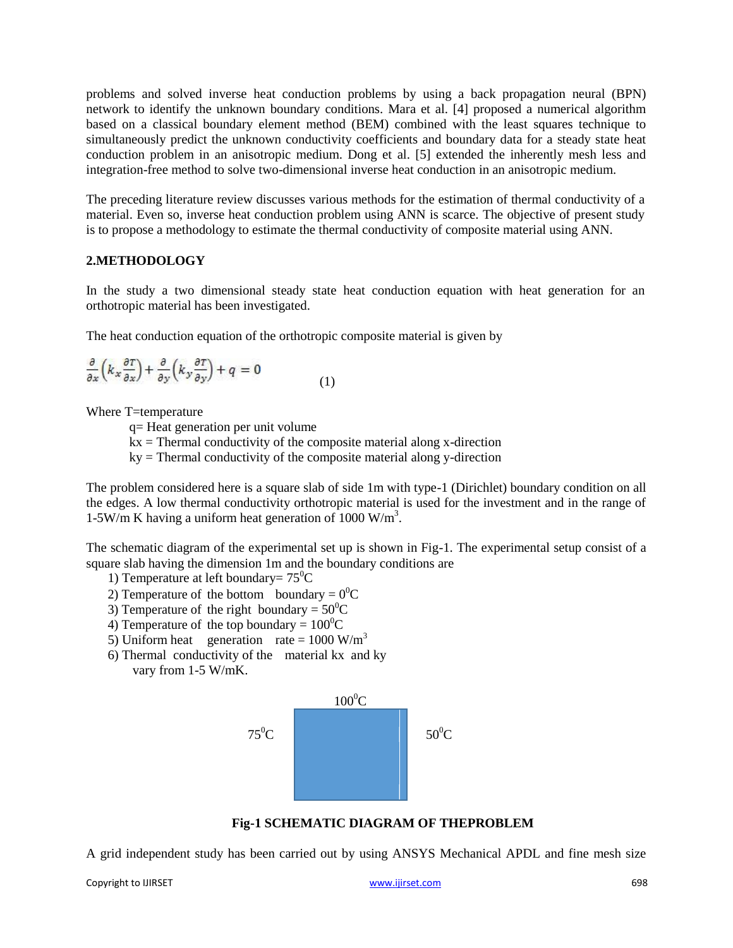problems and solved inverse heat conduction problems by using a back propagation neural (BPN) network to identify the unknown boundary conditions. Mara et al. [4] proposed a numerical algorithm based on a classical boundary element method (BEM) combined with the least squares technique to simultaneously predict the unknown conductivity coefficients and boundary data for a steady state heat conduction problem in an anisotropic medium. Dong et al. [5] extended the inherently mesh less and integration-free method to solve two-dimensional inverse heat conduction in an anisotropic medium.

The preceding literature review discusses various methods for the estimation of thermal conductivity of a material. Even so, inverse heat conduction problem using ANN is scarce. The objective of present study is to propose a methodology to estimate the thermal conductivity of composite material using ANN.

## **2.METHODOLOGY**

In the study a two dimensional steady state heat conduction equation with heat generation for an orthotropic material has been investigated.

The heat conduction equation of the orthotropic composite material is given by

$$
\frac{\partial}{\partial x}\left(k_{x}\frac{\partial T}{\partial x}\right) + \frac{\partial}{\partial y}\left(k_{y}\frac{\partial T}{\partial y}\right) + q = 0
$$
\n(1)

Where T=temperature

q= Heat generation per unit volume

 $kx$  = Thermal conductivity of the composite material along x-direction

 $ky =$ Thermal conductivity of the composite material along y-direction

The problem considered here is a square slab of side 1m with type-1 (Dirichlet) boundary condition on all the edges. A low thermal conductivity orthotropic material is used for the investment and in the range of 1-5W/m K having a uniform heat generation of  $1000 \text{ W/m}^3$ .

The schematic diagram of the experimental set up is shown in Fig-1. The experimental setup consist of a square slab having the dimension 1m and the boundary conditions are

- 1) Temperature at left boundary=  $75^{\circ}$ C
- 2) Temperature of the bottom boundary =  $0^0C$
- 3) Temperature of the right boundary =  $50^{\circ}$ C
- 4) Temperature of the top boundary =  $100^{\circ}$ C
- 5) Uniform heat generation rate =  $1000 \text{ W/m}^3$
- 6) Thermal conductivity of the material kx and ky vary from 1-5 W/mK.



**Fig-1 SCHEMATIC DIAGRAM OF THEPROBLEM**

A grid independent study has been carried out by using ANSYS Mechanical APDL and fine mesh size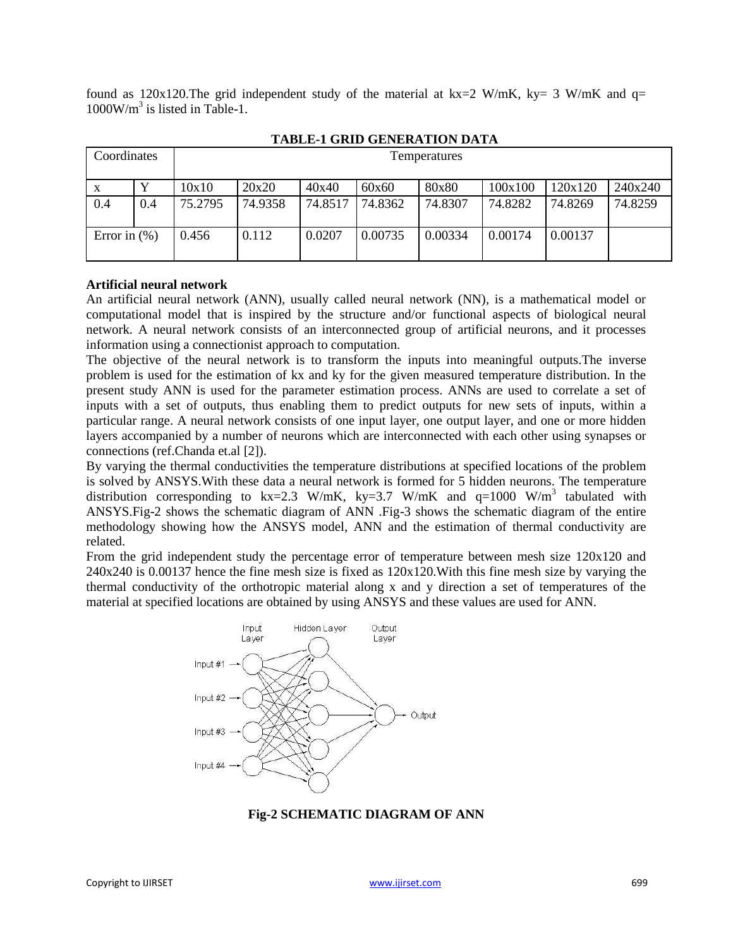found as  $120x120$ . The grid independent study of the material at kx=2 W/mK, ky= 3 W/mK and q= 1000W/m<sup>3</sup> is listed in Table-1.

| 1.1DEE 1 SAMD SEREALIST DRIIM |     |                     |         |         |         |         |         |         |         |
|-------------------------------|-----|---------------------|---------|---------|---------|---------|---------|---------|---------|
| Coordinates                   |     | <b>Temperatures</b> |         |         |         |         |         |         |         |
| X                             |     | 10x10               | 20x20   | 40x40   | 60x60   | 80x80   | 100x100 | 120x120 | 240x240 |
| 0.4                           | 0.4 | 75.2795             | 74.9358 | 74.8517 | 74.8362 | 74.8307 | 74.8282 | 74.8269 | 74.8259 |
| Error in $(\% )$              |     | 0.456               | 0.112   | 0.0207  | 0.00735 | 0.00334 | 0.00174 | 0.00137 |         |

## **TABLE-1 GRID GENERATION DATA**

### **Artificial neural network**

An artificial neural network (ANN), usually called neural network (NN), is a mathematical model or computational model that is inspired by the structure and/or functional aspects of biological neural network. A neural network consists of an interconnected group of artificial neurons, and it processes information using a connectionist approach to computation.

The objective of the neural network is to transform the inputs into meaningful outputs.The inverse problem is used for the estimation of kx and ky for the given measured temperature distribution. In the present study ANN is used for the parameter estimation process. ANNs are used to correlate a set of inputs with a set of outputs, thus enabling them to predict outputs for new sets of inputs, within a particular range. A neural network consists of one input layer, one output layer, and one or more hidden layers accompanied by a number of neurons which are interconnected with each other using synapses or connections (ref.Chanda et.al [2]).

By varying the thermal conductivities the temperature distributions at specified locations of the problem is solved by ANSYS.With these data a neural network is formed for 5 hidden neurons. The temperature distribution corresponding to kx=2.3 W/mK, ky=3.7 W/mK and  $q=1000$  W/m<sup>3</sup> tabulated with ANSYS.Fig-2 shows the schematic diagram of ANN .Fig-3 shows the schematic diagram of the entire methodology showing how the ANSYS model, ANN and the estimation of thermal conductivity are related.

From the grid independent study the percentage error of temperature between mesh size 120x120 and 240x240 is 0.00137 hence the fine mesh size is fixed as 120x120.With this fine mesh size by varying the thermal conductivity of the orthotropic material along x and y direction a set of temperatures of the material at specified locations are obtained by using ANSYS and these values are used for ANN.



**Fig-2 SCHEMATIC DIAGRAM OF ANN**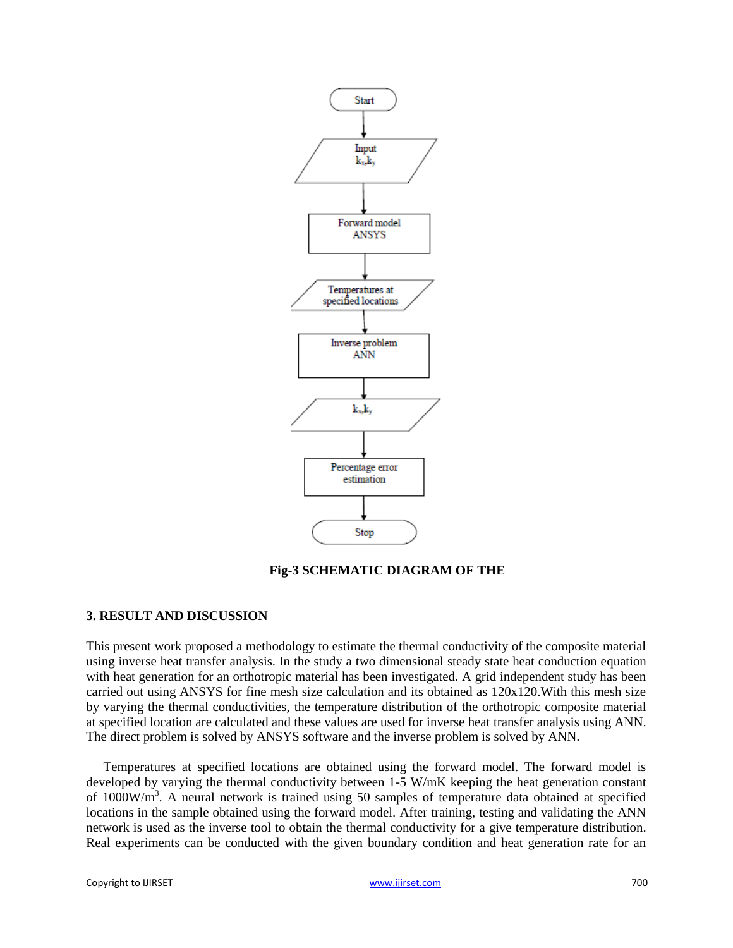

### **Fig-3 SCHEMATIC DIAGRAM OF THE**

### **3. RESULT AND DISCUSSION**

This present work proposed a methodology to estimate the thermal conductivity of the composite material using inverse heat transfer analysis. In the study a two dimensional steady state heat conduction equation with heat generation for an orthotropic material has been investigated. A grid independent study has been carried out using ANSYS for fine mesh size calculation and its obtained as  $120x120$ . With this mesh size by varying the thermal conductivities, the temperature distribution of the orthotropic composite material at specified location are calculated and these values are used for inverse heat transfer analysis using ANN. The direct problem is solved by ANSYS software and the inverse problem is solved by ANN.

Temperatures at specified locations are obtained using the forward model. The forward model is developed by varying the thermal conductivity between 1-5 W/mK keeping the heat generation constant of 1000W/m<sup>3</sup>. A neural network is trained using 50 samples of temperature data obtained at specified locations in the sample obtained using the forward model. After training, testing and validating the ANN network is used as the inverse tool to obtain the thermal conductivity for a give temperature distribution. Real experiments can be conducted with the given boundary condition and heat generation rate for an